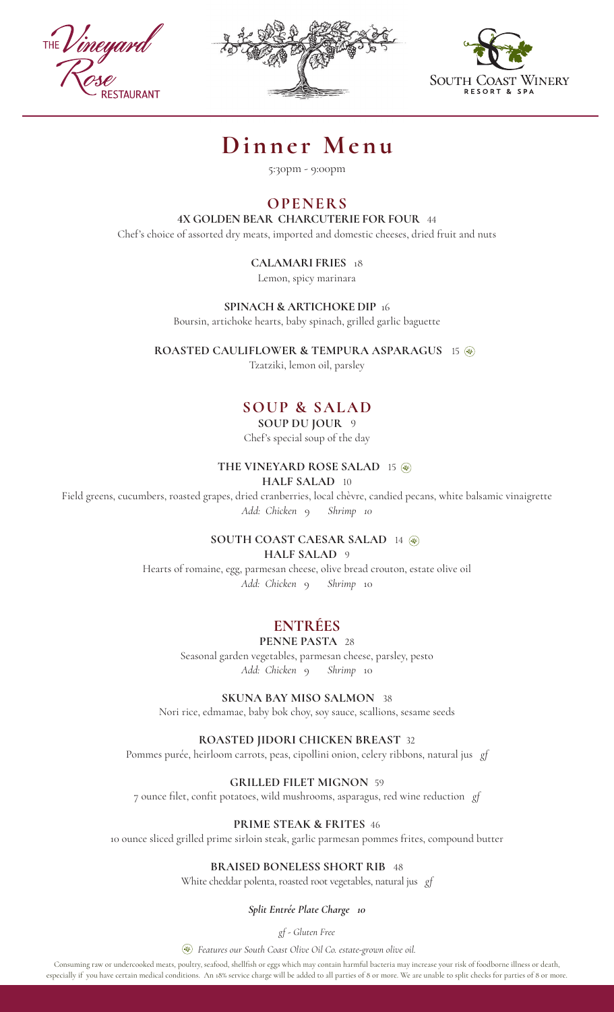





# **Dinner Menu**

5:30pm - 9:00pm

# **OPENERS**

### **4X GOLDEN BEAR CHARCUTERIE FOR FOUR** 44

Chef's choice of assorted dry meats, imported and domestic cheeses, dried fruit and nuts

## **CALAMARI FRIES** 18

Lemon, spicy marinara

**SPINACH & ARTICHOKE DIP** 16

Boursin, artichoke hearts, baby spinach, grilled garlic baguette

**ROASTED CAULIFLOWER & TEMPURA ASPARAGUS** 15

Tzatziki, lemon oil, parsley

# **SOUP & SALAD**

# **SOUP DU JOUR** 9

Chef's special soup of the day

#### **THE VINEYARD ROSE SALAD** 15

#### **HALF SALAD** 10

Field greens, cucumbers, roasted grapes, dried cranberries, local chèvre, candied pecans, white balsamic vinaigrette *Add: Chicken* 9 *Shrimp 10*

# **SOUTH COAST CAESAR SALAD** 14

#### **HALF SALAD** 9

Hearts of romaine, egg, parmesan cheese, olive bread crouton, estate olive oil *Add: Chicken* 9 *Shrimp* 10

# **ENTRÉES**

## **PENNE PASTA** 28

Seasonal garden vegetables, parmesan cheese, parsley, pesto *Add: Chicken* 9 *Shrimp* 10

**SKUNA BAY MISO SALMON** 38

Nori rice, edmamae, baby bok choy, soy sauce, scallions, sesame seeds

**ROASTED JIDORI CHICKEN BREAST** 32

Pommes purée, heirloom carrots, peas, cipollini onion, celery ribbons, natural jus *gf*

#### **GRILLED FILET MIGNON**59

7 ounce filet, confit potatoes, wild mushrooms, asparagus, red wine reduction *gf*

## **PRIME STEAK & FRITES** 46

10 ounce sliced grilled prime sirloin steak, garlic parmesan pommes frites, compound butter

## **BRAISED BONELESS SHORT RIB** 48

White cheddar polenta, roasted root vegetables, natural jus *gf*

*Split Entrée Plate Charge 10* 

*gf - Gluten Free*

*Features our South Coast Olive Oil Co. estate-grown olive oil.* 

Consuming raw or undercooked meats, poultry, seafood, shellfish or eggs which may contain harmful bacteria may increase your risk of foodborne illness or death, especially if you have certain medical conditions. An 18% service charge will be added to all parties of 8 or more. We are unable to split checks for parties of 8 or more.